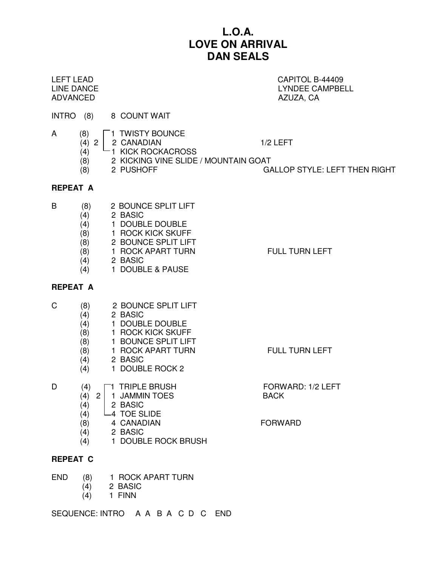## **L.O.A. LOVE ON ARRIVAL DAN SEALS**

ADVANCED AZUZA, CA

# LEFT LEAD CAPITOL B-44409 LINE DANCE LYNDEE CAMPBELL

- INTRO (8) 8 COUNT WAIT
- $\begin{array}{c|c}\nA & (8) & 1 & \text{TWISTY BOUNCE} \\
\hline\n(4) & 2 & 2 & \text{CANADIAN}\n\end{array}$ 
	- (4) 2 2 CANADIAN 1/2 LEFT
		- $(4)$  1 KICK ROCKACROSS
		- (8) 2 KICKING VINE SLIDE / MOUNTAIN GOAT
			-
		- (8) 2 PUSHOFF GALLOP STYLE: LEFT THEN RIGHT

## **REPEAT A**

- B (8) 2 BOUNCE SPLIT LIFT
	- (4) 2 BASIC
	- (4) 1 DOUBLE DOUBLE
	- (8) 1 ROCK KICK SKUFF
	- (8) 2 BOUNCE SPLIT LIFT
	- (8) 1 ROCK APART TURN FULL TURN LEFT
	- (4) 2 BASIC
	- (4) 1 DOUBLE & PAUSE

## **REPEAT A**

- C (8) 2 BOUNCE SPLIT LIFT
	- (4) 2 BASIC
	- (4) 1 DOUBLE DOUBLE
	- (8) 1 ROCK KICK SKUFF
	- (8) 1 BOUNCE SPLIT LIFT
	- (8) 1 ROCK APART TURN FULL TURN LEFT
	- (4) 2 BASIC
	- (4) 1 DOUBLE ROCK 2

| D | (4)    | $\Box$ 1 TRIPLE BRUSH   | <b>FORW</b> |
|---|--------|-------------------------|-------------|
|   |        | $(4)$ 2   1 JAMMIN TOES | <b>BACK</b> |
|   | (4)    | 2 BASIC                 |             |
|   | (4)    | $\sqcup$ 4 TOE SLIDE    |             |
|   | $\sim$ |                         |             |

- (8) 4 CANADIAN FORWARD
- (4) 2 BASIC
- (4) 1 DOUBLE ROCK BRUSH

## **REPEAT C**

- END (8) 1 ROCK APART TURN<br>(4) 2 BASIC
	- (4) 2 BASIC
	- $(4)$  1 FINN

SEQUENCE: INTRO A A B A C D C END

- FORWARD: 1/2 LEFT
-